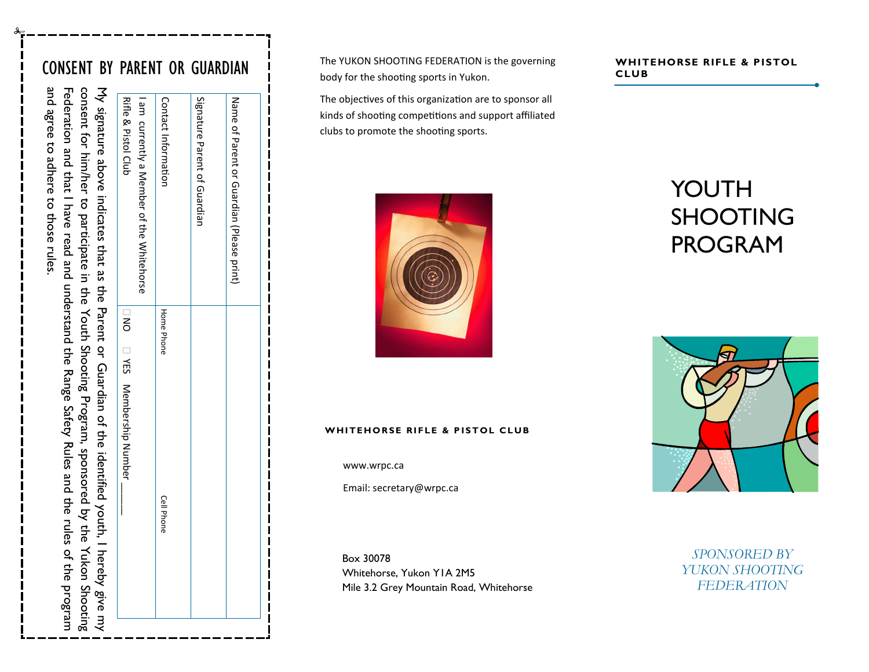and agree to adhere to those rules.

to those rules

Federation and that agree to adhere

and

Federation and that I have read and understand the Range Safety Rules and the rules of the program

I have read and understand the Range Safety Rules and the rules

of the program

|                                                                                                                                                                                                              | Rifle & Pistol Club<br>I am currently a Member of the Whitehorse | Contact Information | Signature Parent of Guardian | Name of Parent or Grandian (Please print) |
|--------------------------------------------------------------------------------------------------------------------------------------------------------------------------------------------------------------|------------------------------------------------------------------|---------------------|------------------------------|-------------------------------------------|
|                                                                                                                                                                                                              |                                                                  | <b>Home Phone</b>   |                              |                                           |
| consecut for him/heim to barticipate in the Yordh Shooting Program, sponsored by the Yukon Shooting<br>My signature above indicates that as the Parent or Guardian of the identified youth, I hereby give my | □ NO □ YES Membership Number                                     | <b>Cell Phone</b>   |                              |                                           |

**CONSENT BY PARENT OR GUARDIAN The YUKON SHOOTING FEDERATION is the governing WHITEHORSE RIFLE & PISTOL** The YUKON SHOOTING FEDERATION is the governing body for the shooting sports in Yukon.

> The objectives of this organization are to sponsor all kinds of shooting competitions and support affiliated clubs to promote the shooting sports.



#### WHITEHORSE RIFLE & PISTOL CLUB

www.wrpc.ca

Email: secretary@wrpc.ca

Box 30078 Whitehorse, Yukon Y1A 2M5 Mile 3.2 Grey Mountain Road, Whitehorse

# **CLUB**

# YOUTH SHOOTING PROGRAM



*SPONSORED BY YUKON SHOOTING FEDERATION*